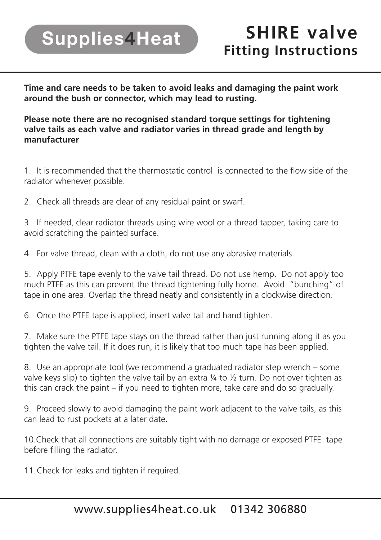## **Supplies4Heat**

**Time and care needs to be taken to avoid leaks and damaging the paint work around the bush or connector, which may lead to rusting.** 

**Please note there are no recognised standard torque settings for tightening valve tails as each valve and radiator varies in thread grade and length by manufacturer**

1. It is recommended that the thermostatic control is connected to the flow side of the radiator whenever possible.

2. Check all threads are clear of any residual paint or swarf.

3. If needed, clear radiator threads using wire wool or a thread tapper, taking care to avoid scratching the painted surface.

4. For valve thread, clean with a cloth, do not use any abrasive materials.

5. Apply PTFE tape evenly to the valve tail thread. Do not use hemp. Do not apply too much PTFE as this can prevent the thread tightening fully home. Avoid "bunching" of tape in one area. Overlap the thread neatly and consistently in a clockwise direction.

6. Once the PTFE tape is applied, insert valve tail and hand tighten.

7. Make sure the PTFE tape stays on the thread rather than just running along it as you tighten the valve tail. If it does run, it is likely that too much tape has been applied.

8. Use an appropriate tool (we recommend a graduated radiator step wrench – some valve keys slip) to tighten the valve tail by an extra  $\frac{1}{4}$  to  $\frac{1}{2}$  turn. Do not over tighten as this can crack the paint – if you need to tighten more, take care and do so gradually.

9. Proceed slowly to avoid damaging the paint work adjacent to the valve tails, as this can lead to rust pockets at a later date.

10.Check that all connections are suitably tight with no damage or exposed PTFE tape before filling the radiator.

11.Check for leaks and tighten if required.